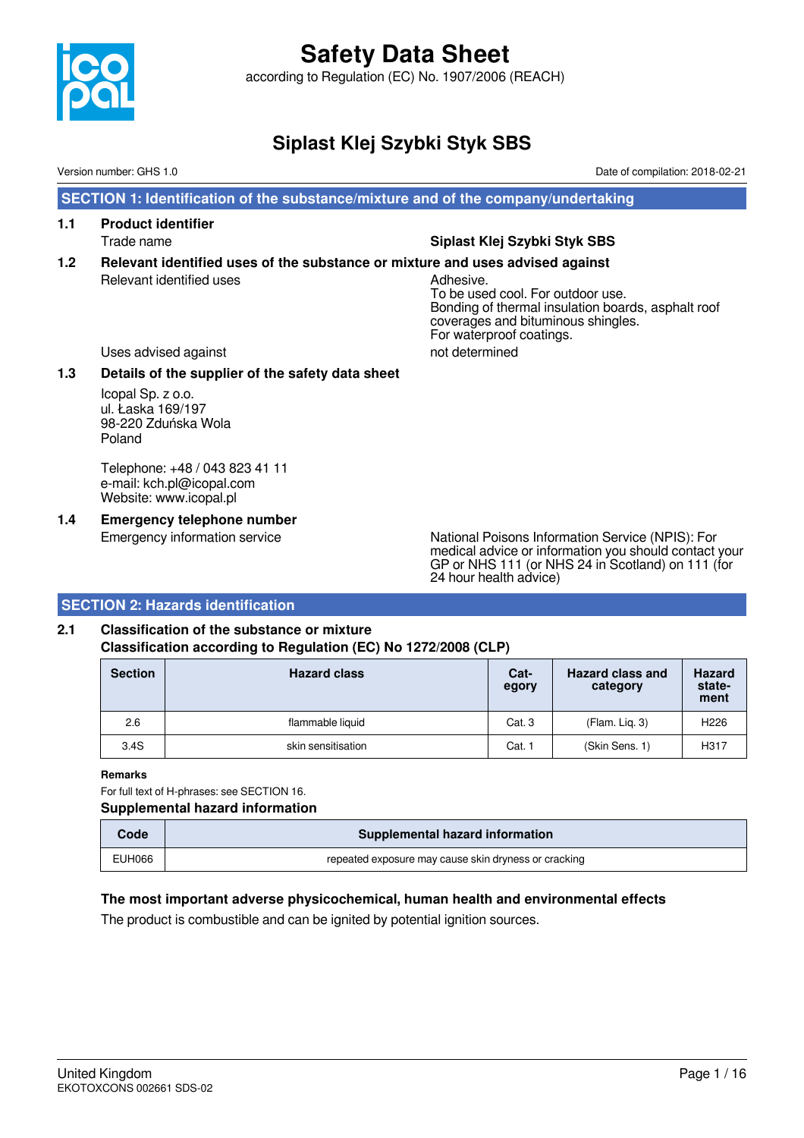

according to Regulation (EC) No. 1907/2006 (REACH)

### **Siplast Klej Szybki Styk SBS**

Version number: GHS 1.0 Date of compilation: 2018-02-21

 **SECTION 1: Identification of the substance/mixture and of the company/undertaking**

**1.1 Product identifier**

#### Trade name **Siplast Klej Szybki Styk SBS**

#### **1.2 Relevant identified uses of the substance or mixture and uses advised against** Relevant identified uses Adhesive.

To be used cool. For outdoor use. Bonding of thermal insulation boards, asphalt roof coverages and bituminous shingles. For waterproof coatings.

Uses advised against not determined

#### **1.3 Details of the supplier of the safety data sheet**

Icopal Sp. z o.o. ul. Łaska 169/197 98-220 Zduńska Wola Poland

Telephone: +48 / 043 823 41 11 e-mail: kch.pl@icopal.com Website: www.icopal.pl

**1.4 Emergency telephone number**

Emergency information service National Poisons Information Service (NPIS): For medical advice or information you should contact your GP or NHS 111 (or NHS 24 in Scotland) on 111 (for 24 hour health advice)

#### **SECTION 2: Hazards identification**

#### **2.1 Classification of the substance or mixture Classification according to Regulation (EC) No 1272/2008 (CLP)**

| <b>Section</b> | <b>Hazard class</b> | Cat-<br>egory | <b>Hazard class and</b><br>category | <b>Hazard</b><br>state-<br>ment |
|----------------|---------------------|---------------|-------------------------------------|---------------------------------|
| 2.6            | flammable liquid    | Cat. 3        | (Flam. Lig. 3)                      | H <sub>226</sub>                |
| 3.4S           | skin sensitisation  | Cat. 1        | (Skin Sens. 1)                      | H317                            |

**Remarks**

For full text of H-phrases: see SECTION 16. **Supplemental hazard information**

| Code   | Supplemental hazard information                      |
|--------|------------------------------------------------------|
| EUH066 | repeated exposure may cause skin dryness or cracking |

#### **The most important adverse physicochemical, human health and environmental effects**

The product is combustible and can be ignited by potential ignition sources.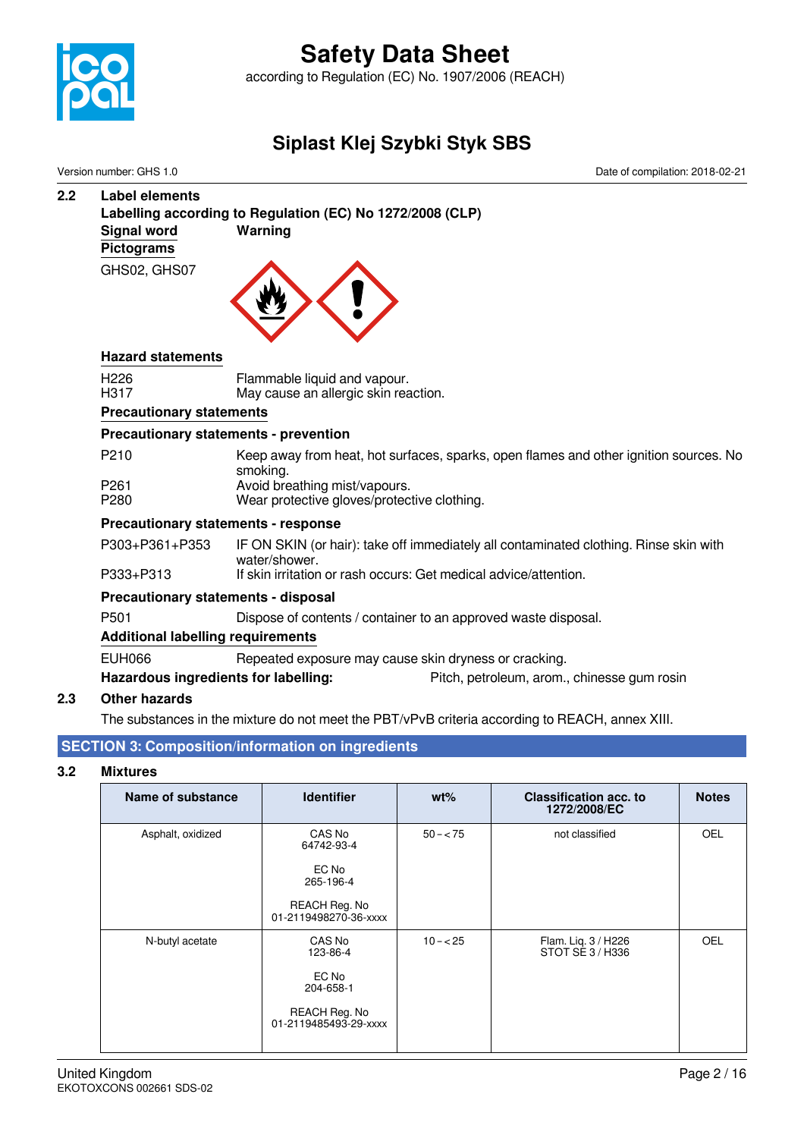

according to Regulation (EC) No. 1907/2006 (REACH)

### **Siplast Klej Szybki Styk SBS**

**2.2 Label elements Labelling according to Regulation (EC) No 1272/2008 (CLP) Signal word Warning Pictograms** GHS02, GHS07 **Hazard statements** H226 Flammable liquid and vapour.<br>H317 H317 May cause an allergic skin rea May cause an allergic skin reaction. **Precautionary statements Precautionary statements - prevention** P210 Keep away from heat, hot surfaces, sparks, open flames and other ignition sources. No smoking. P261 **Avoid breathing mist/vapours.**<br>P280 **Mear protective gloves/protective** Wear protective gloves/protective clothing. **Precautionary statements - response** P303+P361+P353 IF ON SKIN (or hair): take off immediately all contaminated clothing. Rinse skin with water/shower. P333+P313 If skin irritation or rash occurs: Get medical advice/attention. **Precautionary statements - disposal** P501 Dispose of contents / container to an approved waste disposal. **Additional labelling requirements** EUH066 Repeated exposure may cause skin dryness or cracking. **Hazardous ingredients for labelling:** Pitch, petroleum, arom., chinesse gum rosin **2.3 Other hazards** The substances in the mixture do not meet the PBT/vPvB criteria according to REACH, annex XIII.  **SECTION 3: Composition/information on ingredients** Version number: GHS 1.0 Date of compilation: 2018-02-21

#### **3.2 Mixtures**

| Name of substance | <b>Identifier</b>                                                                    | $wt\%$      | <b>Classification acc. to</b><br>1272/2008/EC | <b>Notes</b> |
|-------------------|--------------------------------------------------------------------------------------|-------------|-----------------------------------------------|--------------|
| Asphalt, oxidized | CAS No<br>64742-93-4<br>EC No<br>265-196-4<br>REACH Reg. No<br>01-2119498270-36-xxxx | $50 - < 75$ | not classified                                | <b>OEL</b>   |
| N-butyl acetate   | CAS No<br>123-86-4<br>EC No<br>204-658-1<br>REACH Reg. No<br>01-2119485493-29-xxxx   | $10 - 25$   | Flam. Liq. 3 / H226<br>STOT SE 3 / H336       | <b>OEL</b>   |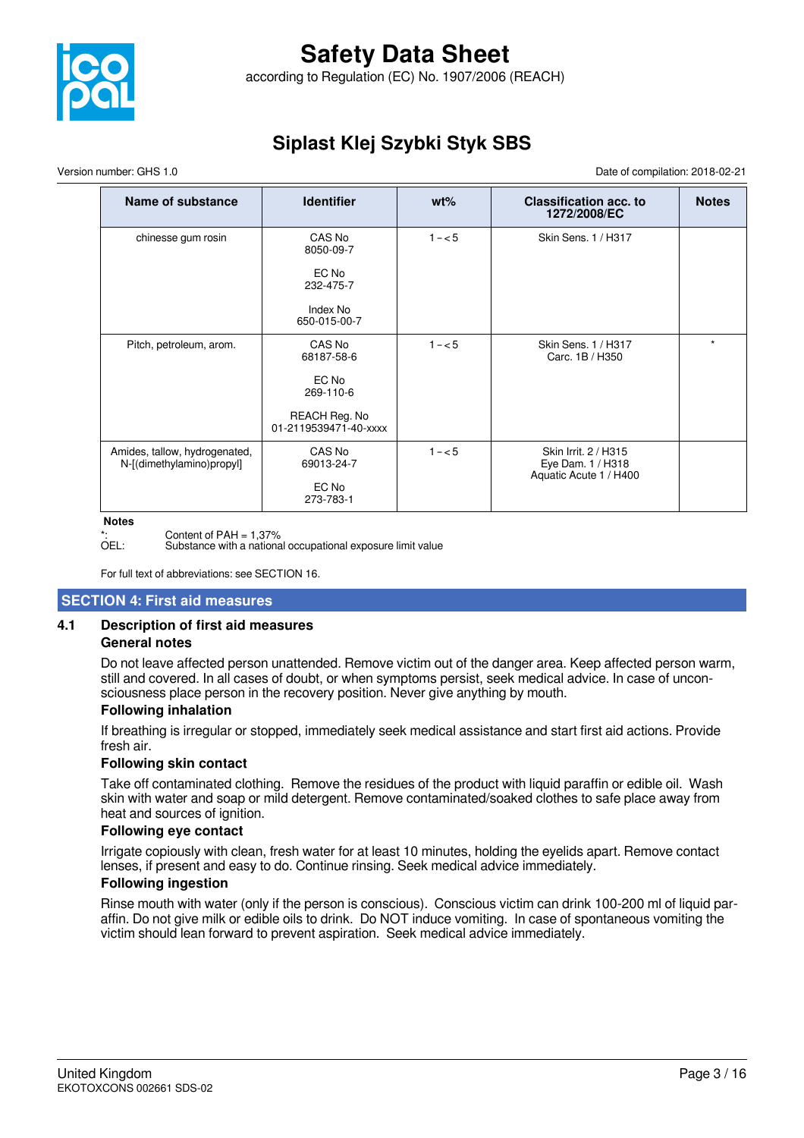

according to Regulation (EC) No. 1907/2006 (REACH)

### **Siplast Klej Szybki Styk SBS**

Version number: GHS 1.0 Date of compilation: 2018-02-21

| Name of substance                                          | <b>Identifier</b>                      | $wt\%$  | <b>Classification acc. to</b><br>1272/2008/EC | <b>Notes</b> |
|------------------------------------------------------------|----------------------------------------|---------|-----------------------------------------------|--------------|
| chinesse gum rosin                                         | CAS No<br>8050-09-7                    | $1 - 5$ | Skin Sens. 1 / H317                           |              |
|                                                            | EC No<br>232-475-7                     |         |                                               |              |
|                                                            | Index No<br>650-015-00-7               |         |                                               |              |
| Pitch, petroleum, arom.                                    | CAS No<br>68187-58-6                   | $1 - 5$ | Skin Sens. 1 / H317<br>Carc. 1B / H350        | $\star$      |
|                                                            | EC No<br>269-110-6                     |         |                                               |              |
|                                                            | REACH Reg. No<br>01-2119539471-40-xxxx |         |                                               |              |
| Amides, tallow, hydrogenated,<br>N-[(dimethylamino)propyl] | CAS No<br>69013-24-7                   | $1 - 5$ | Skin Irrit. 2 / H315<br>Eye Dam. 1 / H318     |              |
|                                                            | EC No<br>273-783-1                     |         | Aquatic Acute 1 / H400                        |              |

**Notes**

\*: Content of PAH = 1,37% Substance with a national occupational exposure limit value

For full text of abbreviations: see SECTION 16.

#### **SECTION 4: First aid measures**

#### **4.1 Description of first aid measures**

#### **General notes**

Do not leave affected person unattended. Remove victim out of the danger area. Keep affected person warm, still and covered. In all cases of doubt, or when symptoms persist, seek medical advice. In case of unconsciousness place person in the recovery position. Never give anything by mouth.

#### **Following inhalation**

If breathing is irregular or stopped, immediately seek medical assistance and start first aid actions. Provide fresh air.

#### **Following skin contact**

Take off contaminated clothing. Remove the residues of the product with liquid paraffin or edible oil. Wash skin with water and soap or mild detergent. Remove contaminated/soaked clothes to safe place away from heat and sources of ignition.

#### **Following eye contact**

Irrigate copiously with clean, fresh water for at least 10 minutes, holding the eyelids apart. Remove contact lenses, if present and easy to do. Continue rinsing. Seek medical advice immediately.

#### **Following ingestion**

Rinse mouth with water (only if the person is conscious). Conscious victim can drink 100-200 ml of liquid paraffin. Do not give milk or edible oils to drink. Do NOT induce vomiting. In case of spontaneous vomiting the victim should lean forward to prevent aspiration. Seek medical advice immediately.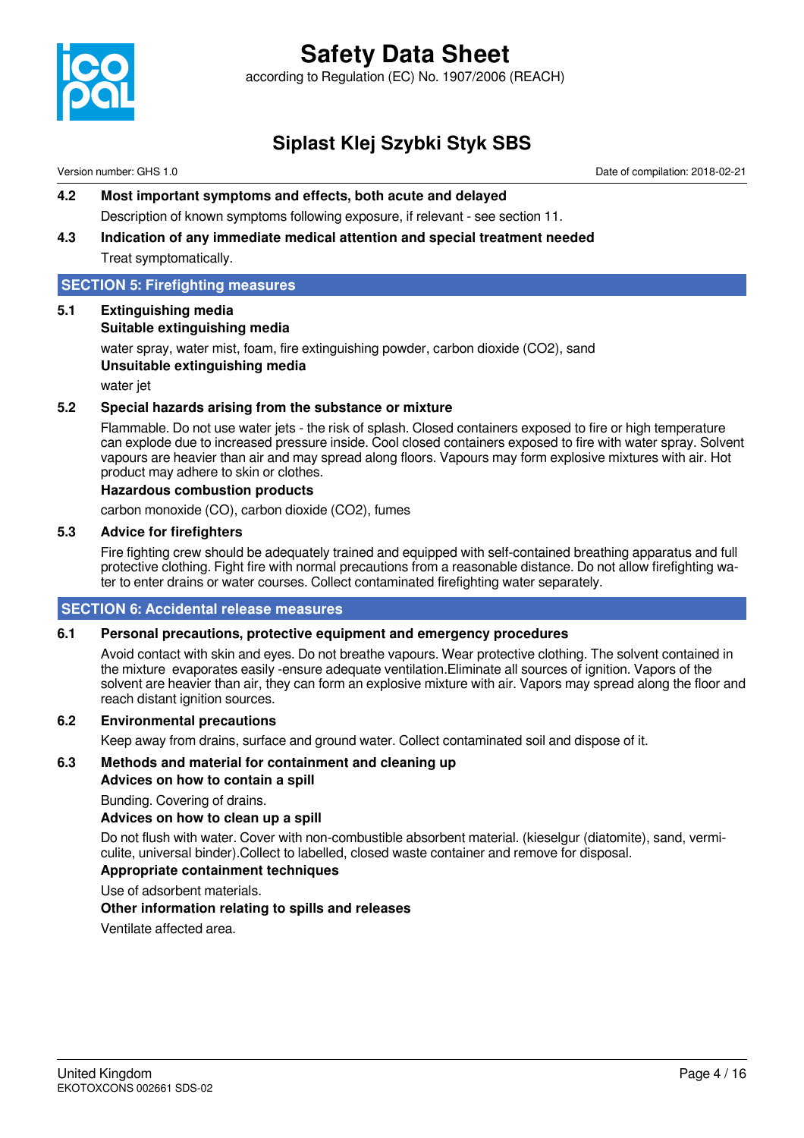

according to Regulation (EC) No. 1907/2006 (REACH)

### **Siplast Klej Szybki Styk SBS**

Version number: GHS 1.0 Date of compilation: 2018-02-21

#### **4.2 Most important symptoms and effects, both acute and delayed**

Description of known symptoms following exposure, if relevant - see section 11.

**4.3 Indication of any immediate medical attention and special treatment needed** Treat symptomatically.

#### **SECTION 5: Firefighting measures**

#### **5.1 Extinguishing media**

#### **Suitable extinguishing media**

water spray, water mist, foam, fire extinguishing powder, carbon dioxide (CO2), sand **Unsuitable extinguishing media**

water jet

#### **5.2 Special hazards arising from the substance or mixture**

Flammable. Do not use water jets - the risk of splash. Closed containers exposed to fire or high temperature can explode due to increased pressure inside. Cool closed containers exposed to fire with water spray. Solvent vapours are heavier than air and may spread along floors. Vapours may form explosive mixtures with air. Hot product may adhere to skin or clothes.

#### **Hazardous combustion products**

carbon monoxide (CO), carbon dioxide (CO2), fumes

#### **5.3 Advice for firefighters**

Fire fighting crew should be adequately trained and equipped with self-contained breathing apparatus and full protective clothing. Fight fire with normal precautions from a reasonable distance. Do not allow firefighting water to enter drains or water courses. Collect contaminated firefighting water separately.

#### **SECTION 6: Accidental release measures**

#### **6.1 Personal precautions, protective equipment and emergency procedures**

Avoid contact with skin and eyes. Do not breathe vapours. Wear protective clothing. The solvent contained in the mixture evaporates easily -ensure adequate ventilation.Eliminate all sources of ignition. Vapors of the solvent are heavier than air, they can form an explosive mixture with air. Vapors may spread along the floor and reach distant ignition sources.

#### **6.2 Environmental precautions**

Keep away from drains, surface and ground water. Collect contaminated soil and dispose of it.

#### **6.3 Methods and material for containment and cleaning up**

**Advices on how to contain a spill**

Bunding. Covering of drains.

#### **Advices on how to clean up a spill**

Do not flush with water. Cover with non-combustible absorbent material. (kieselgur (diatomite), sand, vermiculite, universal binder).Collect to labelled, closed waste container and remove for disposal.

#### **Appropriate containment techniques**

Use of adsorbent materials.

#### **Other information relating to spills and releases**

Ventilate affected area.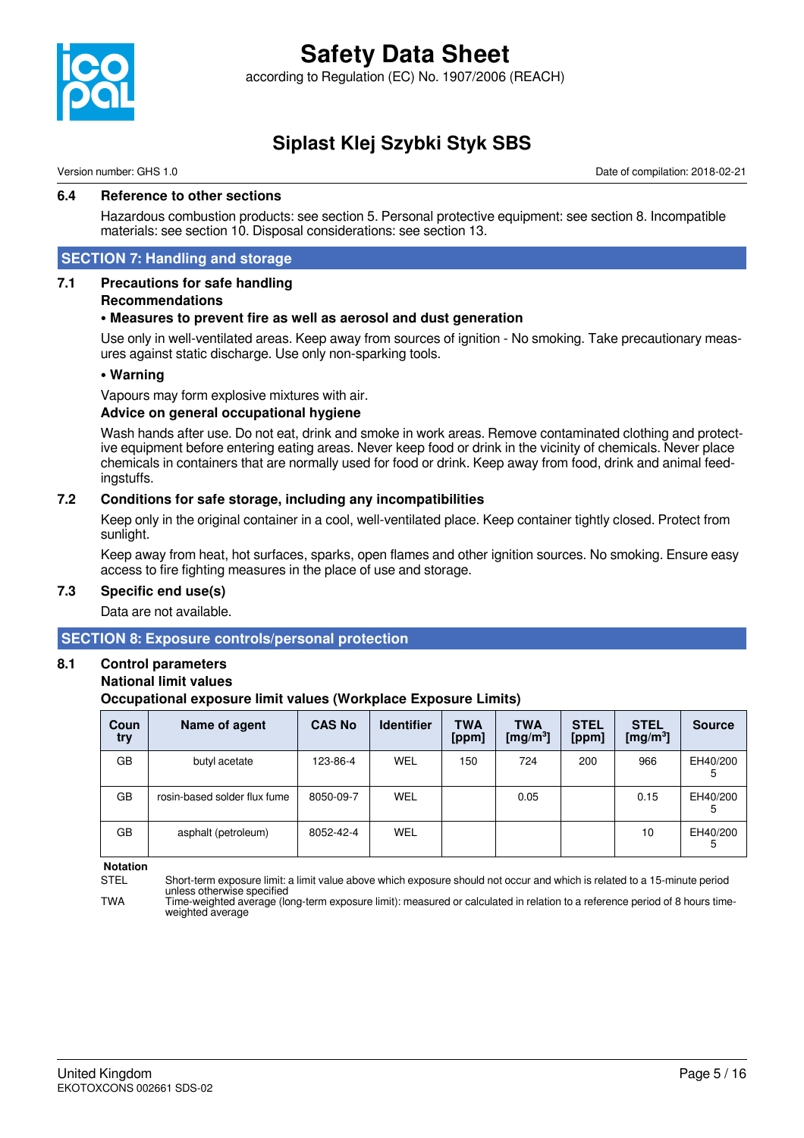

according to Regulation (EC) No. 1907/2006 (REACH)

### **Siplast Klej Szybki Styk SBS**

Version number: GHS 1.0 Date of compilation: 2018-02-21

#### **6.4 Reference to other sections**

Hazardous combustion products: see section 5. Personal protective equipment: see section 8. Incompatible materials: see section 10. Disposal considerations: see section 13.

#### **SECTION 7: Handling and storage**

#### **7.1 Precautions for safe handling**

#### **Recommendations**

#### **• Measures to prevent fire as well as aerosol and dust generation**

Use only in well-ventilated areas. Keep away from sources of ignition - No smoking. Take precautionary measures against static discharge. Use only non-sparking tools.

#### **• Warning**

Vapours may form explosive mixtures with air.

#### **Advice on general occupational hygiene**

Wash hands after use. Do not eat, drink and smoke in work areas. Remove contaminated clothing and protective equipment before entering eating areas. Never keep food or drink in the vicinity of chemicals. Never place chemicals in containers that are normally used for food or drink. Keep away from food, drink and animal feedingstuffs.

#### **7.2 Conditions for safe storage, including any incompatibilities**

Keep only in the original container in a cool, well-ventilated place. Keep container tightly closed. Protect from sunlight.

Keep away from heat, hot surfaces, sparks, open flames and other ignition sources. No smoking. Ensure easy access to fire fighting measures in the place of use and storage.

#### **7.3 Specific end use(s)**

Data are not available.

#### **SECTION 8: Exposure controls/personal protection**

#### **8.1 Control parameters**

#### **National limit values**

**Occupational exposure limit values (Workplace Exposure Limits)**

| Coun<br>try | Name of agent                | <b>CAS No</b> | <b>Identifier</b> | <b>TWA</b><br>[ppm] | <b>TWA</b><br>[mg/m <sup>3</sup> ] | <b>STEL</b><br>[ppm] | <b>STEL</b><br>[mg/m <sup>3</sup> ] | <b>Source</b> |
|-------------|------------------------------|---------------|-------------------|---------------------|------------------------------------|----------------------|-------------------------------------|---------------|
| GB          | butyl acetate                | 123-86-4      | <b>WEL</b>        | 150                 | 724                                | 200                  | 966                                 | EH40/200      |
| GB          | rosin-based solder flux fume | 8050-09-7     | <b>WEL</b>        |                     | 0.05                               |                      | 0.15                                | EH40/200      |
| GB          | asphalt (petroleum)          | 8052-42-4     | <b>WEL</b>        |                     |                                    |                      | 10                                  | EH40/200      |

**Notation**

Short-term exposure limit: a limit value above which exposure should not occur and which is related to a 15-minute period unless otherwise specified

TWA Time-weighted average (long-term exposure limit): measured or calculated in relation to a reference period of 8 hours timeweighted average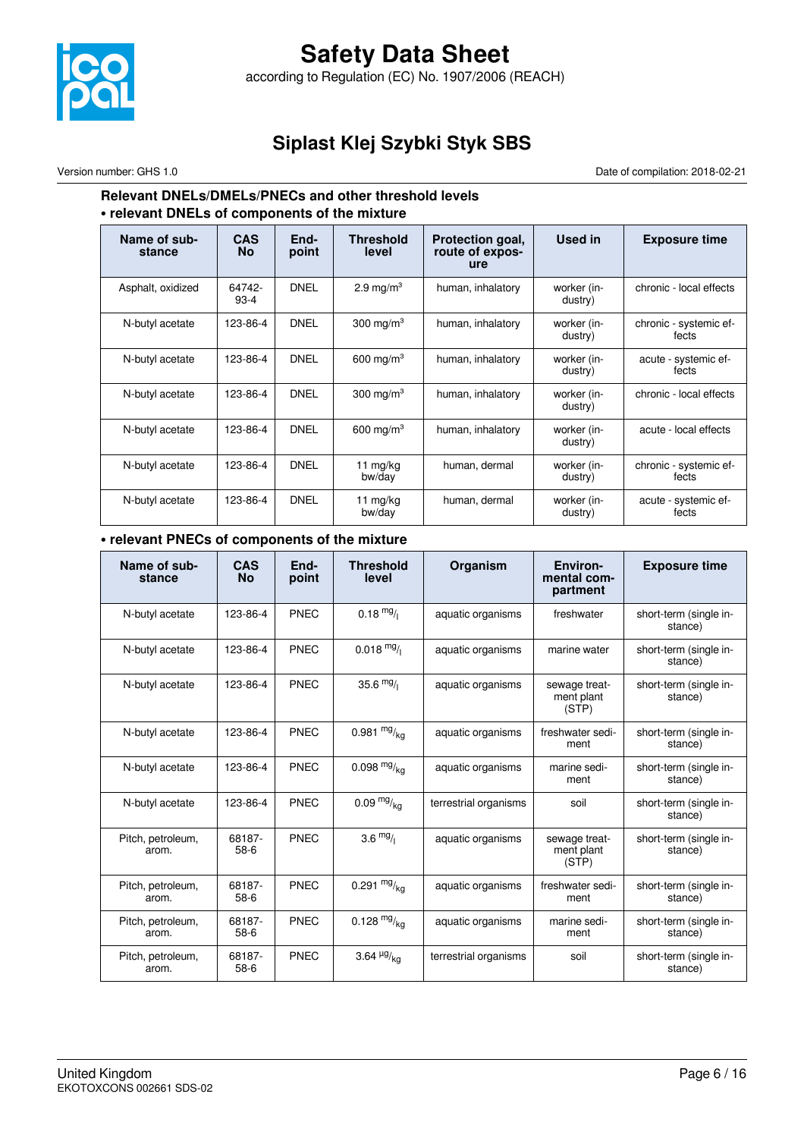

### **Safety Data Sheet** according to Regulation (EC) No. 1907/2006 (REACH)

### **Siplast Klej Szybki Styk SBS**

Version number: GHS 1.0 Date of compilation: 2018-02-21

#### **Relevant DNELs/DMELs/PNECs and other threshold levels • relevant DNELs of components of the mixture**

| Name of sub-<br>stance | <b>CAS</b><br>No | End-<br>point | <b>Threshold</b><br>level | Protection goal,<br>route of expos-<br>ure | Used in                | <b>Exposure time</b>            |
|------------------------|------------------|---------------|---------------------------|--------------------------------------------|------------------------|---------------------------------|
| Asphalt, oxidized      | 64742-<br>$93-4$ | <b>DNEL</b>   | 2.9 mg/m <sup>3</sup>     | human, inhalatory                          | worker (in-<br>dustry) | chronic - local effects         |
| N-butyl acetate        | 123-86-4         | <b>DNEL</b>   | 300 mg/m $3$              | human, inhalatory                          | worker (in-<br>dustry) | chronic - systemic ef-<br>fects |
| N-butyl acetate        | 123-86-4         | <b>DNEL</b>   | 600 mg/m $3$              | human, inhalatory                          | worker (in-<br>dustry) | acute - systemic ef-<br>fects   |
| N-butyl acetate        | 123-86-4         | <b>DNEL</b>   | 300 mg/m <sup>3</sup>     | human, inhalatory                          | worker (in-<br>dustry) | chronic - local effects         |
| N-butyl acetate        | 123-86-4         | <b>DNEL</b>   | 600 mg/m $3$              | human, inhalatory                          | worker (in-<br>dustry) | acute - local effects           |
| N-butyl acetate        | 123-86-4         | <b>DNEL</b>   | 11 mg/kg<br>bw/day        | human, dermal                              | worker (in-<br>dustry) | chronic - systemic ef-<br>fects |
| N-butyl acetate        | 123-86-4         | <b>DNEL</b>   | 11 $mq/kg$<br>bw/day      | human, dermal                              | worker (in-<br>dustry) | acute - systemic ef-<br>fects   |

#### **• relevant PNECs of components of the mixture**

| Name of sub-<br>stance     | <b>CAS</b><br><b>No</b> | End-<br>point | <b>Threshold</b><br>level     | Organism              | Environ-<br>mental com-<br>partment  | <b>Exposure time</b>              |
|----------------------------|-------------------------|---------------|-------------------------------|-----------------------|--------------------------------------|-----------------------------------|
| N-butyl acetate            | 123-86-4                | PNEC          | $0.18 \frac{mg}{l}$           | aquatic organisms     | freshwater                           | short-term (single in-<br>stance) |
| N-butyl acetate            | 123-86-4                | <b>PNEC</b>   | $0.018 \frac{mg}{l}$          | aquatic organisms     | marine water                         | short-term (single in-<br>stance) |
| N-butyl acetate            | 123-86-4                | PNEC          | 35.6 $mg/$                    | aquatic organisms     | sewage treat-<br>ment plant<br>(STP) | short-term (single in-<br>stance) |
| N-butyl acetate            | 123-86-4                | PNEC          | 0.981 $mg/kq$                 | aquatic organisms     | freshwater sedi-<br>ment             | short-term (single in-<br>stance) |
| N-butyl acetate            | 123-86-4                | PNEC          | 0.098 $mg/kg$                 | aquatic organisms     | marine sedi-<br>ment                 | short-term (single in-<br>stance) |
| N-butyl acetate            | 123-86-4                | PNEC          | $0.09 \frac{mg}{ka}$          | terrestrial organisms | soil                                 | short-term (single in-<br>stance) |
| Pitch, petroleum,<br>arom. | 68187-<br>58-6          | PNEC          | 3.6 $mg/1$                    | aquatic organisms     | sewage treat-<br>ment plant<br>(STP) | short-term (single in-<br>stance) |
| Pitch, petroleum,<br>arom. | 68187-<br>58-6          | PNEC          | 0.291 $mg/kq$                 | aquatic organisms     | freshwater sedi-<br>ment             | short-term (single in-<br>stance) |
| Pitch, petroleum,<br>arom. | 68187-<br>$58-6$        | PNEC          | 0.128 $mg/kq$                 | aquatic organisms     | marine sedi-<br>ment                 | short-term (single in-<br>stance) |
| Pitch, petroleum,<br>arom. | 68187-<br>$58-6$        | PNEC          | 3.64 $\frac{\mu g}{\kappa q}$ | terrestrial organisms | soil                                 | short-term (single in-<br>stance) |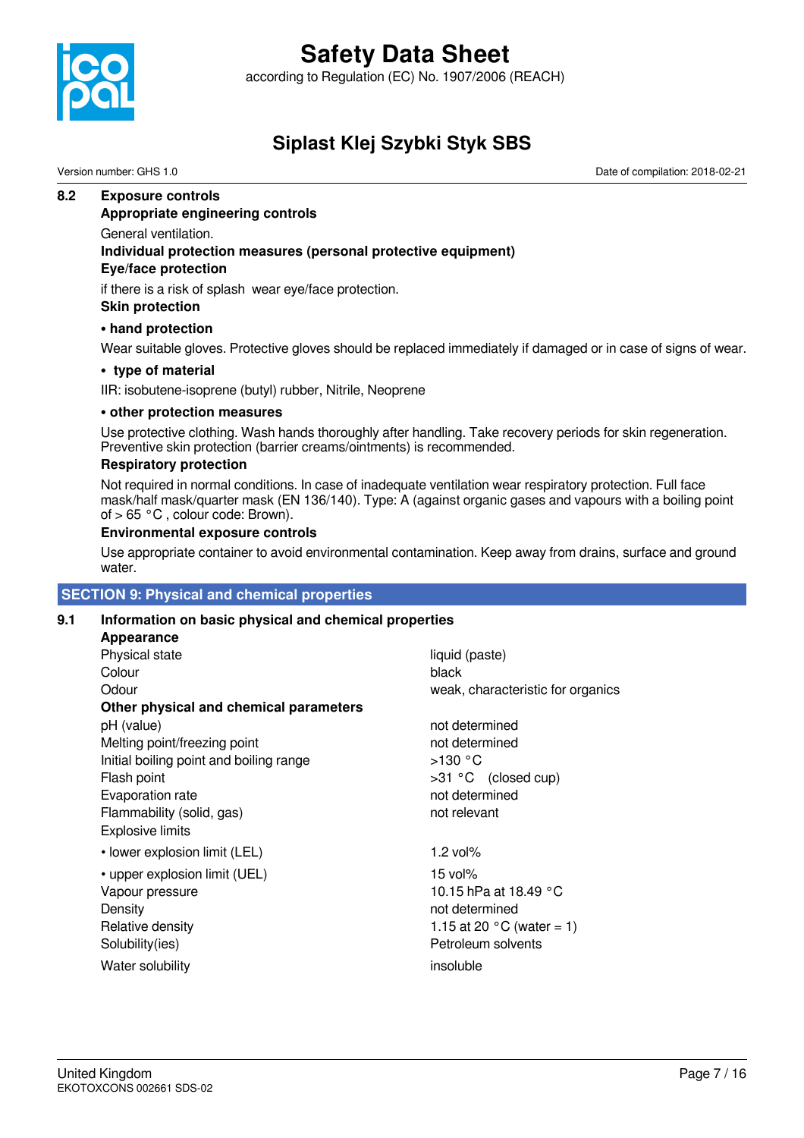

according to Regulation (EC) No. 1907/2006 (REACH)

### **Siplast Klej Szybki Styk SBS**

Version number: GHS 1.0 Date of compilation: 2018-02-21

#### **8.2 Exposure controls**

#### **Appropriate engineering controls**

General ventilation.

#### **Individual protection measures (personal protective equipment)**

#### **Eye/face protection**

if there is a risk of splash wear eye/face protection.

### **Skin protection**

#### **• hand protection**

Wear suitable gloves. Protective gloves should be replaced immediately if damaged or in case of signs of wear.

#### **• type of material**

IIR: isobutene-isoprene (butyl) rubber, Nitrile, Neoprene

#### **• other protection measures**

Use protective clothing. Wash hands thoroughly after handling. Take recovery periods for skin regeneration. Preventive skin protection (barrier creams/ointments) is recommended.

#### **Respiratory protection**

Not required in normal conditions. In case of inadequate ventilation wear respiratory protection. Full face mask/half mask/quarter mask (EN 136/140). Type: A (against organic gases and vapours with a boiling point of > 65 °C , colour code: Brown).

#### **Environmental exposure controls**

Use appropriate container to avoid environmental contamination. Keep away from drains, surface and ground water.

#### **SECTION 9: Physical and chemical properties**

#### **9.1 Information on basic physical and chemical properties**

| Appearance                              |                                     |
|-----------------------------------------|-------------------------------------|
| Physical state                          | liquid (paste)                      |
| Colour                                  | black                               |
| Odour                                   | weak, characteristic for organics   |
| Other physical and chemical parameters  |                                     |
| pH (value)                              | not determined                      |
| Melting point/freezing point            | not determined                      |
| Initial boiling point and boiling range | $>130$ °C                           |
| Flash point                             | $>31$ °C (closed cup)               |
| Evaporation rate                        | not determined                      |
| Flammability (solid, gas)               | not relevant                        |
| <b>Explosive limits</b>                 |                                     |
| • lower explosion limit (LEL)           | 1.2 vol $%$                         |
| • upper explosion limit (UEL)           | 15 vol $%$                          |
| Vapour pressure                         | 10.15 hPa at 18.49 °C               |
| Density                                 | not determined                      |
| Relative density                        | 1.15 at 20 $^{\circ}$ C (water = 1) |
| Solubility(ies)                         | Petroleum solvents                  |
| Water solubility                        | insoluble                           |
|                                         |                                     |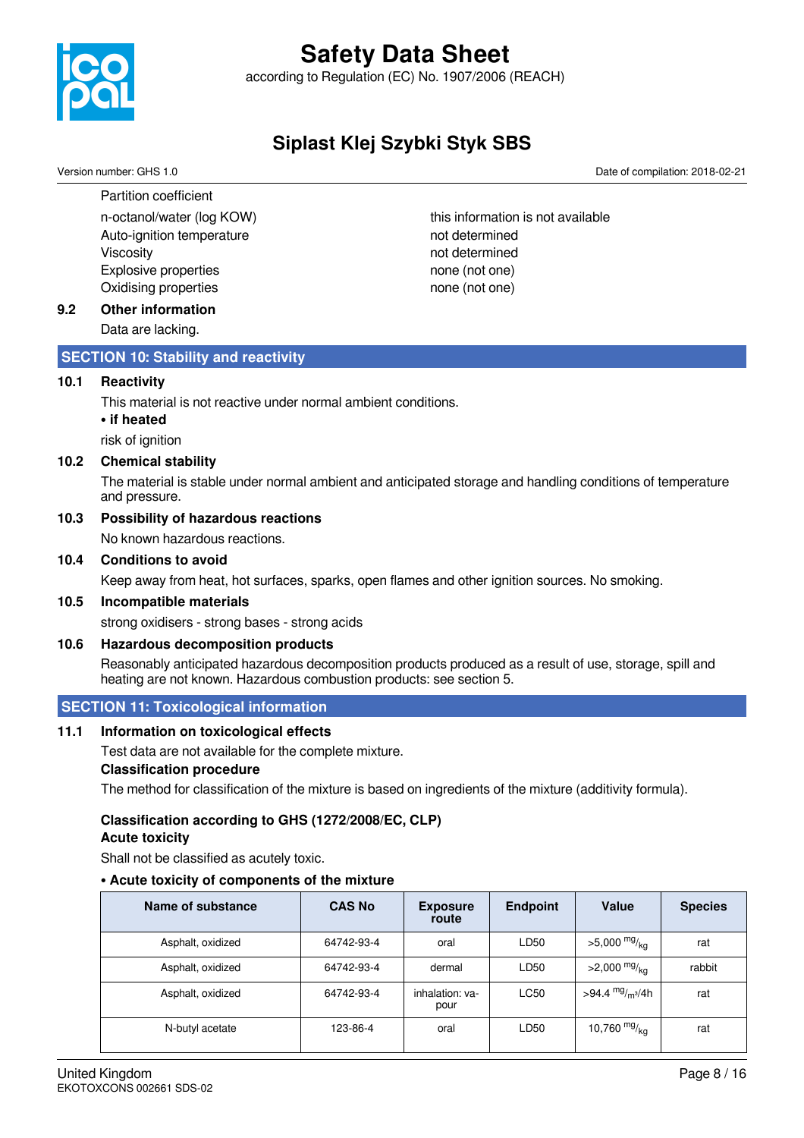

according to Regulation (EC) No. 1907/2006 (REACH)

### **Siplast Klej Szybki Styk SBS**

Version number: GHS 1.0 Date of compilation: 2018-02-21

Partition coefficient Auto-ignition temperature not determined Viscosity **not determined** Explosive properties none (not one) Oxidising properties none (not one)

n-octanol/water (log KOW) horizon this information is not available

#### **9.2 Other information**

Data are lacking.

#### **SECTION 10: Stability and reactivity**

#### **10.1 Reactivity**

This material is not reactive under normal ambient conditions.

- **if heated**
- risk of ianition

#### **10.2 Chemical stability**

The material is stable under normal ambient and anticipated storage and handling conditions of temperature and pressure.

#### **10.3 Possibility of hazardous reactions**

No known hazardous reactions.

#### **10.4 Conditions to avoid**

Keep away from heat, hot surfaces, sparks, open flames and other ignition sources. No smoking.

#### **10.5 Incompatible materials**

strong oxidisers - strong bases - strong acids

#### **10.6 Hazardous decomposition products**

Reasonably anticipated hazardous decomposition products produced as a result of use, storage, spill and heating are not known. Hazardous combustion products: see section 5.

#### **SECTION 11: Toxicological information**

#### **11.1 Information on toxicological effects**

Test data are not available for the complete mixture.

#### **Classification procedure**

The method for classification of the mixture is based on ingredients of the mixture (additivity formula).

#### **Classification according to GHS (1272/2008/EC, CLP)**

#### **Acute toxicity**

Shall not be classified as acutely toxic.

#### **• Acute toxicity of components of the mixture**

| Name of substance | <b>CAS No</b> | <b>Exposure</b><br>route | <b>Endpoint</b> | Value                       | <b>Species</b> |
|-------------------|---------------|--------------------------|-----------------|-----------------------------|----------------|
| Asphalt, oxidized | 64742-93-4    | oral                     | LD50            | $>5,000$ mg/ <sub>ka</sub>  | rat            |
| Asphalt, oxidized | 64742-93-4    | dermal                   | LD50            | $>2,000$ mg/ <sub>kg</sub>  | rabbit         |
| Asphalt, oxidized | 64742-93-4    | inhalation: ya-<br>pour  | LC50            | >94.4 mg/ <sub>m3</sub> /4h | rat            |
| N-butyl acetate   | 123-86-4      | oral                     | LD50            | 10,760 $mg/_{ka}$           | rat            |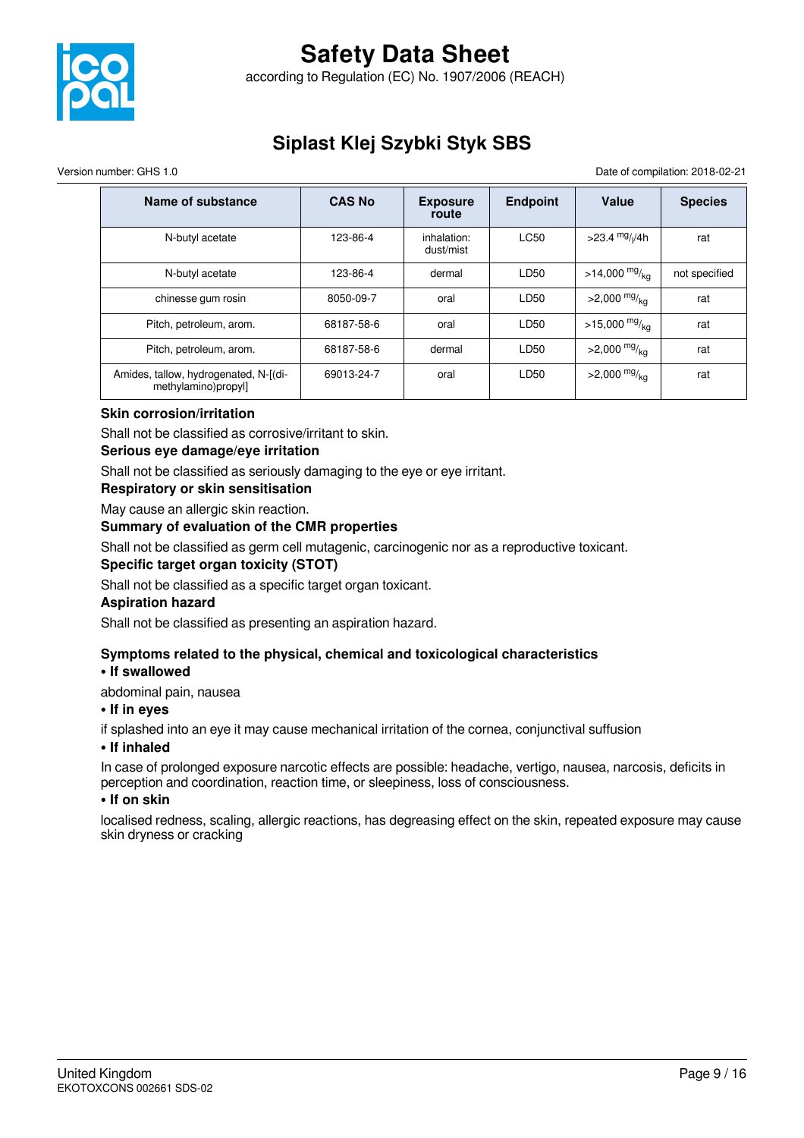

according to Regulation (EC) No. 1907/2006 (REACH)

### **Siplast Klej Szybki Styk SBS**

Version number: GHS 1.0 Date of compilation: 2018-02-21

| Name of substance                                            | <b>CAS No</b> | <b>Exposure</b><br>route | <b>Endpoint</b> | Value                      | <b>Species</b> |
|--------------------------------------------------------------|---------------|--------------------------|-----------------|----------------------------|----------------|
| N-butyl acetate                                              | 123-86-4      | inhalation:<br>dust/mist | <b>LC50</b>     | >23.4 $mg$ //4h            | rat            |
| N-butyl acetate                                              | 123-86-4      | dermal                   | LD50            | $>14,000 \frac{mg}{kg}$    | not specified  |
| chinesse gum rosin                                           | 8050-09-7     | oral                     | LD50            | >2,000 $mg/_{ka}$          | rat            |
| Pitch, petroleum, arom.                                      | 68187-58-6    | oral                     | LD50            | >15,000 $mg/_{ka}$         | rat            |
| Pitch, petroleum, arom.                                      | 68187-58-6    | dermal                   | LD50            | $>2,000$ mg/ <sub>kg</sub> | rat            |
| Amides, tallow, hydrogenated, N-[(di-<br>methylamino)propyl] | 69013-24-7    | oral                     | LD50            | $>2,000$ mg/ <sub>ka</sub> | rat            |

#### **Skin corrosion/irritation**

Shall not be classified as corrosive/irritant to skin.

#### **Serious eye damage/eye irritation**

Shall not be classified as seriously damaging to the eye or eye irritant.

**Respiratory or skin sensitisation**

May cause an allergic skin reaction.

#### **Summary of evaluation of the CMR properties**

Shall not be classified as germ cell mutagenic, carcinogenic nor as a reproductive toxicant.

#### **Specific target organ toxicity (STOT)**

Shall not be classified as a specific target organ toxicant.

#### **Aspiration hazard**

Shall not be classified as presenting an aspiration hazard.

#### **Symptoms related to the physical, chemical and toxicological characteristics**

#### **• If swallowed**

abdominal pain, nausea

#### **• If in eyes**

if splashed into an eye it may cause mechanical irritation of the cornea, conjunctival suffusion

#### **• If inhaled**

In case of prolonged exposure narcotic effects are possible: headache, vertigo, nausea, narcosis, deficits in perception and coordination, reaction time, or sleepiness, loss of consciousness.

#### **• If on skin**

localised redness, scaling, allergic reactions, has degreasing effect on the skin, repeated exposure may cause skin dryness or cracking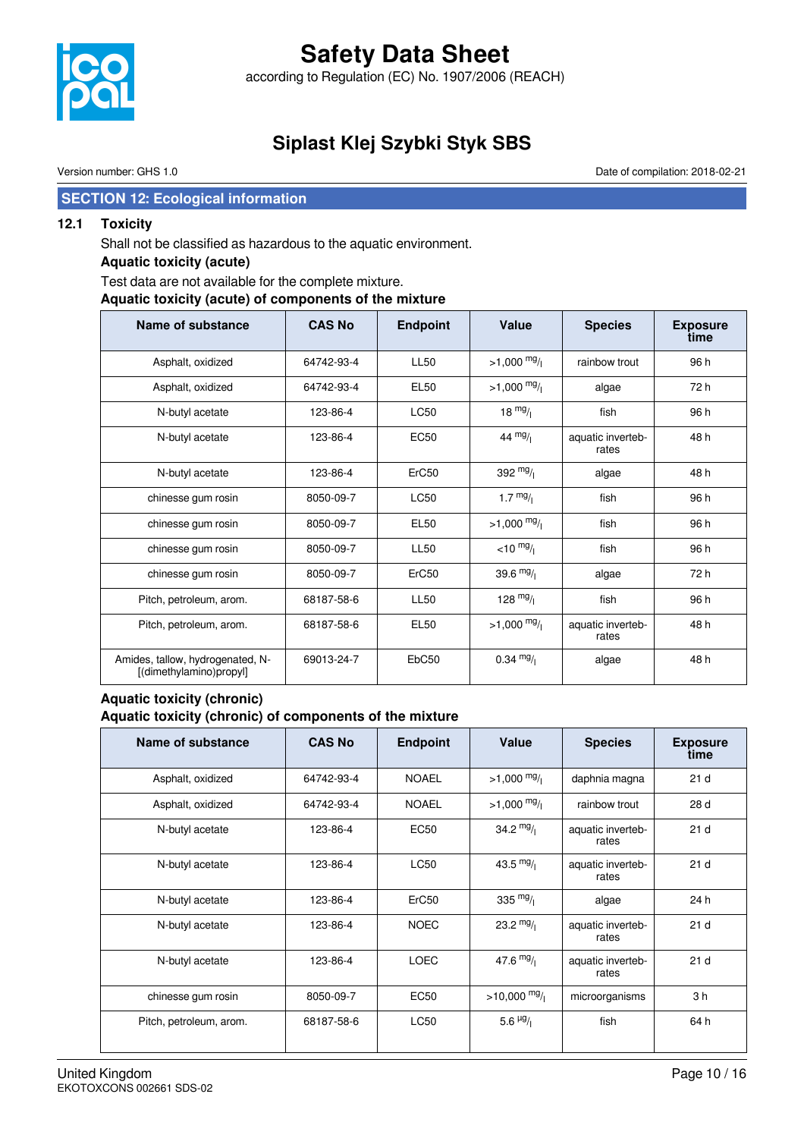

according to Regulation (EC) No. 1907/2006 (REACH)

### **Siplast Klej Szybki Styk SBS**

Version number: GHS 1.0 Date of compilation: 2018-02-21

#### **SECTION 12: Ecological information**

#### **12.1 Toxicity**

Shall not be classified as hazardous to the aquatic environment.

#### **Aquatic toxicity (acute)**

#### Test data are not available for the complete mixture. **Aquatic toxicity (acute) of components of the mixture**

| <b>Name of substance</b>                                    | <b>CAS No</b> | <b>Endpoint</b> | <b>Value</b>          | <b>Species</b>             | <b>Exposure</b><br>time |
|-------------------------------------------------------------|---------------|-----------------|-----------------------|----------------------------|-------------------------|
| Asphalt, oxidized                                           | 64742-93-4    | <b>LL50</b>     | $>1,000 \frac{mg}{l}$ | rainbow trout              | 96 h                    |
| Asphalt, oxidized                                           | 64742-93-4    | <b>EL50</b>     | $>1,000 \frac{mg}{l}$ | algae                      | 72 h                    |
| N-butyl acetate                                             | 123-86-4      | <b>LC50</b>     | $18 \frac{mg}{l}$     | fish                       | 96 h                    |
| N-butyl acetate                                             | 123-86-4      | <b>EC50</b>     | 44 $mg/1$             | aquatic inverteb-<br>rates | 48 h                    |
| N-butyl acetate                                             | 123-86-4      | ErC50           | 392 $mg/$             | algae                      | 48 h                    |
| chinesse gum rosin                                          | 8050-09-7     | <b>LC50</b>     | $1.7 \frac{mg}{l}$    | fish                       | 96 h                    |
| chinesse gum rosin                                          | 8050-09-7     | EL50            | $>1,000 \frac{mg}{l}$ | fish                       | 96 h                    |
| chinesse gum rosin                                          | 8050-09-7     | <b>LL50</b>     | $<$ 10 $mg/$          | fish                       | 96 h                    |
| chinesse gum rosin                                          | 8050-09-7     | ErC50           | 39.6 $mg/$            | algae                      | 72 h                    |
| Pitch, petroleum, arom.                                     | 68187-58-6    | <b>LL50</b>     | 128 $mg/$             | fish                       | 96 h                    |
| Pitch, petroleum, arom.                                     | 68187-58-6    | <b>EL50</b>     | $>1,000$ mg/          | aquatic inverteb-<br>rates | 48 h                    |
| Amides, tallow, hydrogenated, N-<br>[(dimethylamino)propyl] | 69013-24-7    | EbC50           | $0.34 \frac{mg}{l}$   | algae                      | 48h                     |

#### **Aquatic toxicity (chronic) Aquatic toxicity (chronic) of components of the mixture**

| Name of substance       | <b>CAS No</b> | <b>Endpoint</b>   | Value                   | <b>Species</b>             | <b>Exposure</b><br>time |
|-------------------------|---------------|-------------------|-------------------------|----------------------------|-------------------------|
| Asphalt, oxidized       | 64742-93-4    | <b>NOAEL</b>      | $>1,000 \frac{mg}{l}$   | daphnia magna              | 21 <sub>d</sub>         |
| Asphalt, oxidized       | 64742-93-4    | <b>NOAEL</b>      | $>1,000 \frac{mg}{l}$   | rainbow trout              | 28 d                    |
| N-butyl acetate         | 123-86-4      | <b>EC50</b>       | 34.2 $mg/1$             | aquatic inverteb-<br>rates | 21 <sub>d</sub>         |
| N-butyl acetate         | 123-86-4      | <b>LC50</b>       | 43.5 $mg/1$             | aquatic inverteb-<br>rates | 21 <sub>d</sub>         |
| N-butyl acetate         | 123-86-4      | ErC <sub>50</sub> | 335 $mg/1$              | algae                      | 24 h                    |
| N-butyl acetate         | 123-86-4      | <b>NOEC</b>       | 23.2 $mg/1$             | aquatic inverteb-<br>rates | 21 <sub>d</sub>         |
| N-butyl acetate         | 123-86-4      | <b>LOEC</b>       | 47.6 $mg/1$             | aquatic inverteb-<br>rates | 21 <sub>d</sub>         |
| chinesse gum rosin      | 8050-09-7     | <b>EC50</b>       | $>10,000$ mg/           | microorganisms             | 3 <sub>h</sub>          |
| Pitch, petroleum, arom. | 68187-58-6    | <b>LC50</b>       | 5.6 $\frac{\mu g}{\mu}$ | fish                       | 64 h                    |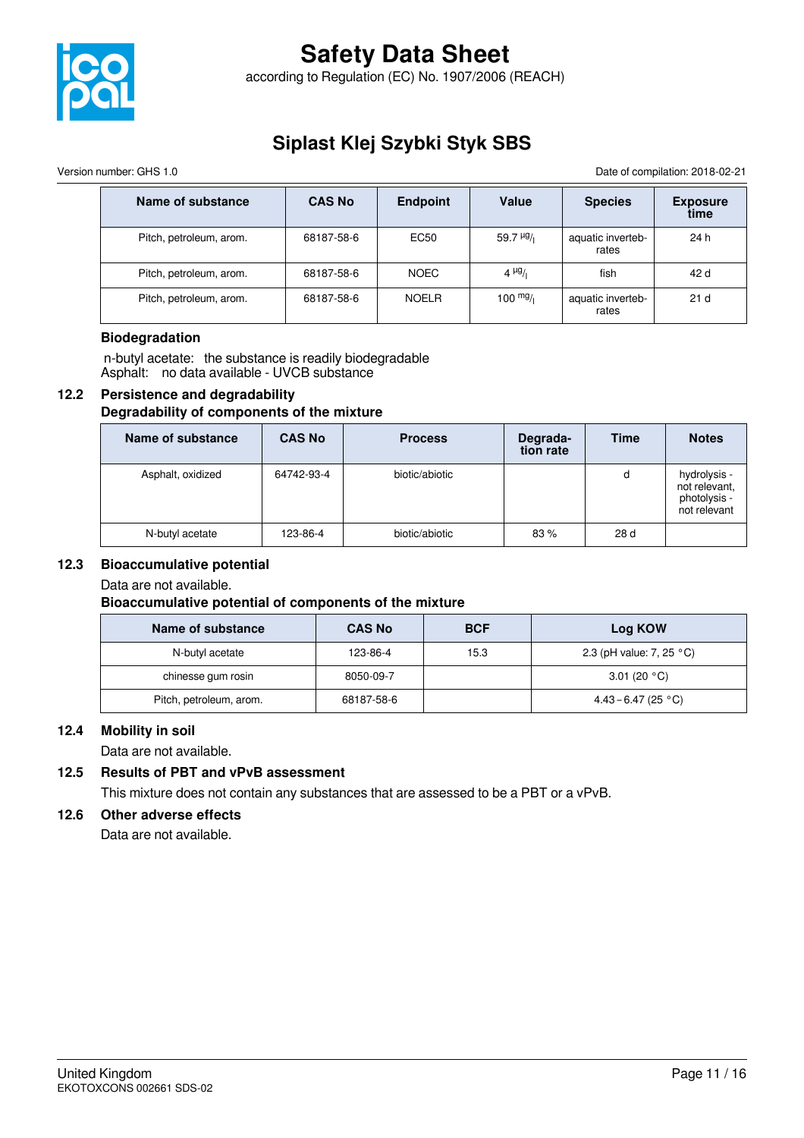

### **Siplast Klej Szybki Styk SBS**

Version number: GHS 1.0 Date of compilation: 2018-02-21

| Name of substance       | <b>CAS No</b> | <b>Endpoint</b> | Value                    | <b>Species</b>             | <b>Exposure</b><br>time |
|-------------------------|---------------|-----------------|--------------------------|----------------------------|-------------------------|
| Pitch, petroleum, arom. | 68187-58-6    | EC50            | 59.7 $\frac{\mu g}{\mu}$ | aquatic inverteb-<br>rates | 24 h                    |
| Pitch, petroleum, arom. | 68187-58-6    | <b>NOEC</b>     | $4 \mu$ g/               | fish                       | 42 d                    |
| Pitch, petroleum, arom. | 68187-58-6    | <b>NOELR</b>    | $100 \frac{mg}{l}$       | aquatic inverteb-<br>rates | 21 <sub>d</sub>         |

#### **Biodegradation**

 n-butyl acetate: the substance is readily biodegradable Asphalt: no data available - UVCB substance

## **12.2 Persistence and degradability**

**Degradability of components of the mixture**

| Name of substance | <b>CAS No</b> | <b>Process</b> | Degrada-<br>tion rate | Time | <b>Notes</b>                                                  |
|-------------------|---------------|----------------|-----------------------|------|---------------------------------------------------------------|
| Asphalt, oxidized | 64742-93-4    | biotic/abiotic |                       | d    | hydrolysis -<br>not relevant,<br>photolysis -<br>not relevant |
| N-butyl acetate   | 123-86-4      | biotic/abiotic | 83%                   | 28 d |                                                               |

#### **12.3 Bioaccumulative potential**

Data are not available.

#### **Bioaccumulative potential of components of the mixture**

| Name of substance       | <b>CAS No</b> | <b>BCF</b> | Log KOW                            |
|-------------------------|---------------|------------|------------------------------------|
| N-butyl acetate         | 123-86-4      | 15.3       | 2.3 (pH value: 7, 25 $^{\circ}$ C) |
| chinesse gum rosin      | 8050-09-7     |            | 3.01 $(20 °C)$                     |
| Pitch, petroleum, arom. | 68187-58-6    |            | 4.43 – 6.47 (25 °C)                |

#### **12.4 Mobility in soil**

Data are not available.

#### **12.5 Results of PBT and vPvB assessment**

This mixture does not contain any substances that are assessed to be a PBT or a vPvB.

#### **12.6 Other adverse effects**

Data are not available.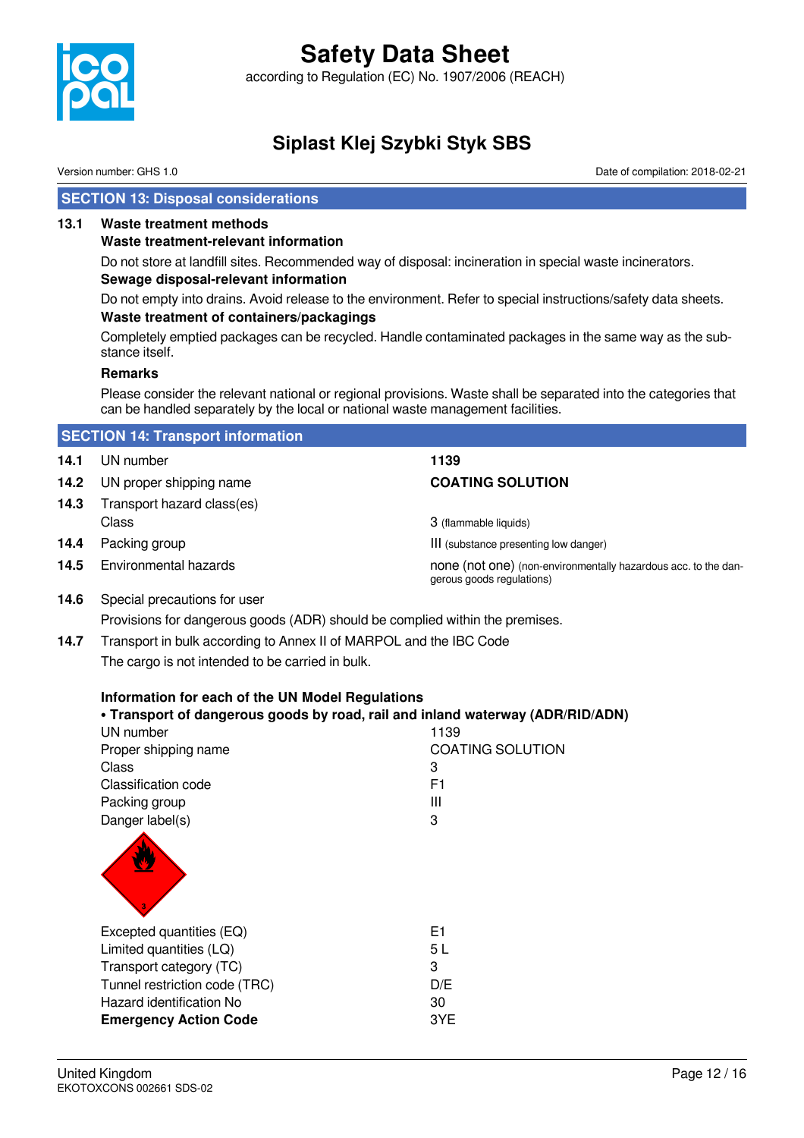

### **Siplast Klej Szybki Styk SBS**

Version number: GHS 1.0 Date of compilation: 2018-02-21

#### **SECTION 13: Disposal considerations**

#### **13.1 Waste treatment methods**

#### **Waste treatment-relevant information**

Do not store at landfill sites. Recommended way of disposal: incineration in special waste incinerators. **Sewage disposal-relevant information**

Do not empty into drains. Avoid release to the environment. Refer to special instructions/safety data sheets. **Waste treatment of containers/packagings**

Completely emptied packages can be recycled. Handle contaminated packages in the same way as the substance itself.

#### **Remarks**

Please consider the relevant national or regional provisions. Waste shall be separated into the categories that can be handled separately by the local or national waste management facilities.

|      | <b>SECTION 14: Transport information</b> |                                                                                             |
|------|------------------------------------------|---------------------------------------------------------------------------------------------|
| 14.1 | UN number                                | 1139                                                                                        |
| 14.2 | UN proper shipping name                  | <b>COATING SOLUTION</b>                                                                     |
| 14.3 | Transport hazard class(es)<br>Class      | 3 (flammable liquids)                                                                       |
| 14.4 | Packing group                            | III (substance presenting low danger)                                                       |
| 14.5 | Environmental hazards                    | none (not one) (non-environmentally hazardous acc. to the dan-<br>gerous goods regulations) |

**14.6** Special precautions for user

Provisions for dangerous goods (ADR) should be complied within the premises.

**14.7** Transport in bulk according to Annex II of MARPOL and the IBC Code The cargo is not intended to be carried in bulk.

| Information for each of the UN Model Regulations |                                                                                |
|--------------------------------------------------|--------------------------------------------------------------------------------|
|                                                  | • Transport of dangerous goods by road, rail and inland waterway (ADR/RID/ADN) |
| UN number                                        | 1139                                                                           |
| Proper shipping name                             | <b>COATING SOLUTION</b>                                                        |
| Class                                            | 3                                                                              |
| Classification code                              | F1                                                                             |
| Packing group                                    | Ш                                                                              |
| Danger label(s)                                  | 3                                                                              |
|                                                  |                                                                                |
| Excepted quantities (EQ)                         | E1                                                                             |
| Limited quantities (LQ)                          | 5L                                                                             |
| Transport category (TC)                          | 3                                                                              |
| Tunnel restriction code (TRC)                    | D/E                                                                            |
| Hazard identification No                         | 30                                                                             |
| <b>Emergency Action Code</b>                     | 3YE                                                                            |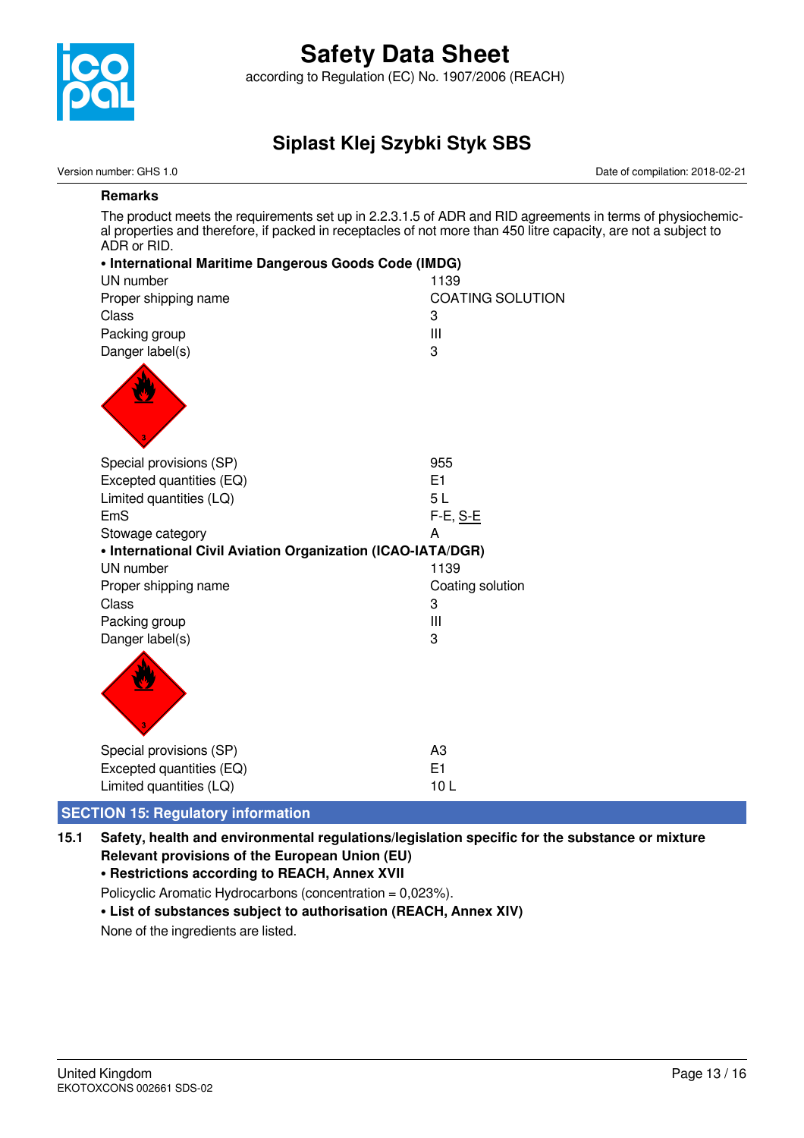

according to Regulation (EC) No. 1907/2006 (REACH)

### **Siplast Klej Szybki Styk SBS**

| Version number: GHS 1.0                                                        | Date of compilation: 2018-02-21                                                                                                                                                                                               |
|--------------------------------------------------------------------------------|-------------------------------------------------------------------------------------------------------------------------------------------------------------------------------------------------------------------------------|
| <b>Remarks</b>                                                                 |                                                                                                                                                                                                                               |
| ADR or RID.                                                                    | The product meets the requirements set up in 2.2.3.1.5 of ADR and RID agreements in terms of physiochemic-<br>al properties and therefore, if packed in receptacles of not more than 450 litre capacity, are not a subject to |
| • International Maritime Dangerous Goods Code (IMDG)                           |                                                                                                                                                                                                                               |
| UN number                                                                      | 1139                                                                                                                                                                                                                          |
| Proper shipping name                                                           | <b>COATING SOLUTION</b>                                                                                                                                                                                                       |
| <b>Class</b>                                                                   | 3                                                                                                                                                                                                                             |
| Packing group                                                                  | Ш                                                                                                                                                                                                                             |
| Danger label(s)                                                                | 3                                                                                                                                                                                                                             |
| Special provisions (SP)<br>Excepted quantities (EQ)<br>Limited quantities (LQ) | 955<br>E1<br>5L                                                                                                                                                                                                               |
| EmS                                                                            | $F-E$ , S-E                                                                                                                                                                                                                   |
| Stowage category                                                               | A                                                                                                                                                                                                                             |
| • International Civil Aviation Organization (ICAO-IATA/DGR)                    |                                                                                                                                                                                                                               |
| UN number                                                                      | 1139                                                                                                                                                                                                                          |
| Proper shipping name                                                           | Coating solution                                                                                                                                                                                                              |
| <b>Class</b>                                                                   | 3                                                                                                                                                                                                                             |
| Packing group                                                                  | Ш                                                                                                                                                                                                                             |
| Danger label(s)                                                                | 3                                                                                                                                                                                                                             |
|                                                                                |                                                                                                                                                                                                                               |

#### **SECTION 15: Regulatory information**

**15.1 Safety, health and environmental regulations/legislation specific for the substance or mixture Relevant provisions of the European Union (EU)**

#### **• Restrictions according to REACH, Annex XVII**

Policyclic Aromatic Hydrocarbons (concentration = 0,023%).

#### **• List of substances subject to authorisation (REACH, Annex XIV)**

None of the ingredients are listed.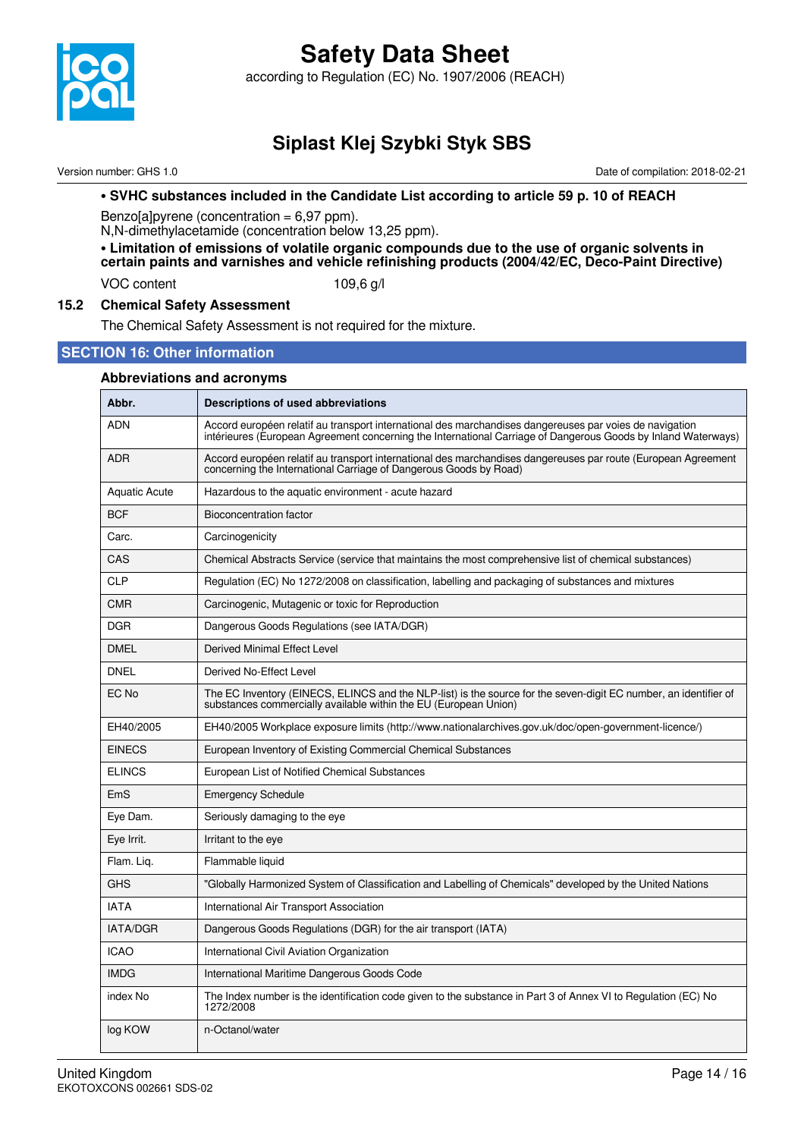

according to Regulation (EC) No. 1907/2006 (REACH)

### **Siplast Klej Szybki Styk SBS**

Version number: GHS 1.0 Date of compilation: 2018-02-21

#### **• SVHC substances included in the Candidate List according to article 59 p. 10 of REACH**

Benzo[a]pyrene (concentration =  $6,97$  ppm).

N,N-dimethylacetamide (concentration below 13,25 ppm).

**• Limitation of emissions of volatile organic compounds due to the use of organic solvents in certain paints and varnishes and vehicle refinishing products (2004/42/EC, Deco-Paint Directive)**

VOC content 109,6 g/l

### **15.2 Chemical Safety Assessment**

The Chemical Safety Assessment is not required for the mixture.

#### **SECTION 16: Other information**

#### **Abbreviations and acronyms**

| Abbr.                | Descriptions of used abbreviations                                                                                                                                                                                       |
|----------------------|--------------------------------------------------------------------------------------------------------------------------------------------------------------------------------------------------------------------------|
| <b>ADN</b>           | Accord européen relatif au transport international des marchandises dangereuses par voies de navigation<br>intérieures (European Agreement concerning the International Carriage of Dangerous Goods by Inland Waterways) |
| <b>ADR</b>           | Accord européen relatif au transport international des marchandises dangereuses par route (European Agreement<br>concerning the International Carriage of Dangerous Goods by Road)                                       |
| <b>Aquatic Acute</b> | Hazardous to the aquatic environment - acute hazard                                                                                                                                                                      |
| <b>BCF</b>           | Bioconcentration factor                                                                                                                                                                                                  |
| Carc.                | Carcinogenicity                                                                                                                                                                                                          |
| CAS                  | Chemical Abstracts Service (service that maintains the most comprehensive list of chemical substances)                                                                                                                   |
| <b>CLP</b>           | Regulation (EC) No 1272/2008 on classification, labelling and packaging of substances and mixtures                                                                                                                       |
| <b>CMR</b>           | Carcinogenic, Mutagenic or toxic for Reproduction                                                                                                                                                                        |
| <b>DGR</b>           | Dangerous Goods Regulations (see IATA/DGR)                                                                                                                                                                               |
| <b>DMEL</b>          | Derived Minimal Effect Level                                                                                                                                                                                             |
| <b>DNEL</b>          | Derived No-Effect Level                                                                                                                                                                                                  |
| EC No                | The EC Inventory (EINECS, ELINCS and the NLP-list) is the source for the seven-digit EC number, an identifier of<br>substances commercially available within the EU (European Union)                                     |
| EH40/2005            | EH40/2005 Workplace exposure limits (http://www.nationalarchives.gov.uk/doc/open-government-licence/)                                                                                                                    |
| <b>EINECS</b>        | European Inventory of Existing Commercial Chemical Substances                                                                                                                                                            |
| <b>ELINCS</b>        | European List of Notified Chemical Substances                                                                                                                                                                            |
| EmS                  | <b>Emergency Schedule</b>                                                                                                                                                                                                |
| Eye Dam.             | Seriously damaging to the eye                                                                                                                                                                                            |
| Eye Irrit.           | Irritant to the eye                                                                                                                                                                                                      |
| Flam. Lig.           | Flammable liquid                                                                                                                                                                                                         |
| <b>GHS</b>           | "Globally Harmonized System of Classification and Labelling of Chemicals" developed by the United Nations                                                                                                                |
| <b>IATA</b>          | International Air Transport Association                                                                                                                                                                                  |
| <b>IATA/DGR</b>      | Dangerous Goods Regulations (DGR) for the air transport (IATA)                                                                                                                                                           |
| <b>ICAO</b>          | International Civil Aviation Organization                                                                                                                                                                                |
| <b>IMDG</b>          | International Maritime Dangerous Goods Code                                                                                                                                                                              |
| index No             | The Index number is the identification code given to the substance in Part 3 of Annex VI to Regulation (EC) No<br>1272/2008                                                                                              |
| log KOW              | n-Octanol/water                                                                                                                                                                                                          |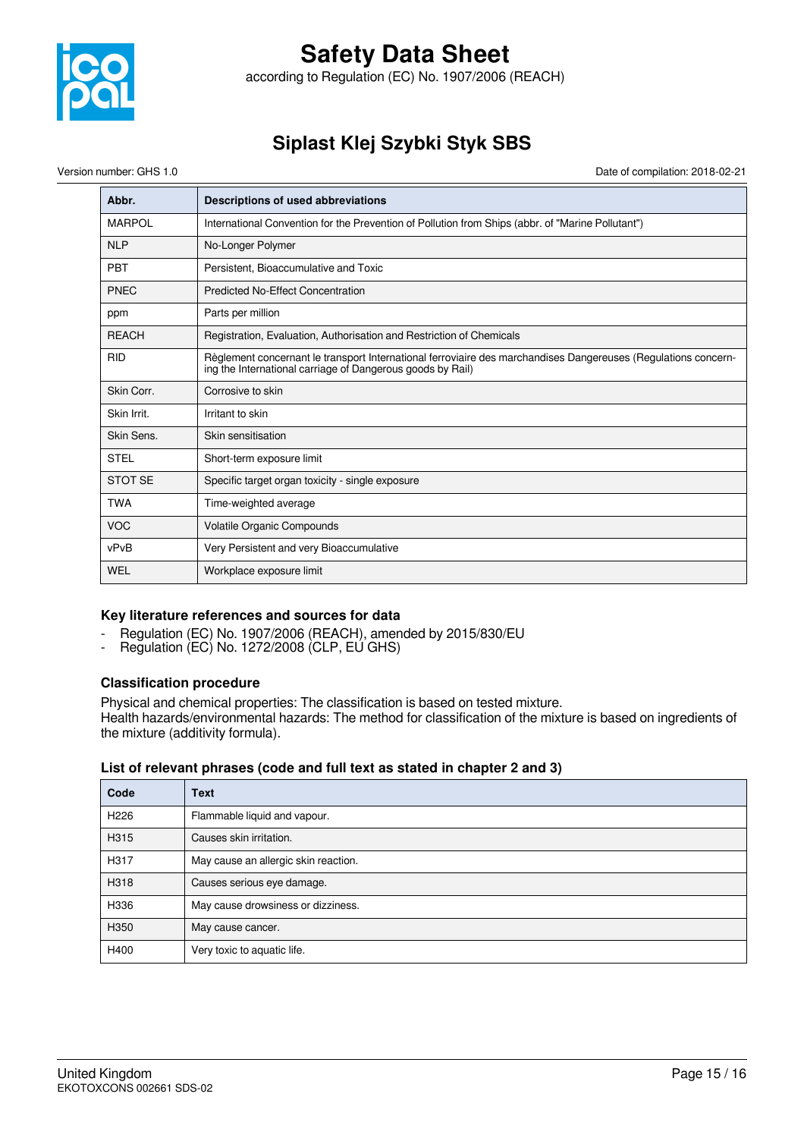

according to Regulation (EC) No. 1907/2006 (REACH)

### **Siplast Klej Szybki Styk SBS**

Version number: GHS 1.0 Date of compilation: 2018-02-21

| Abbr.         | Descriptions of used abbreviations                                                                                                                                           |
|---------------|------------------------------------------------------------------------------------------------------------------------------------------------------------------------------|
| <b>MARPOL</b> | International Convention for the Prevention of Pollution from Ships (abbr. of "Marine Pollutant")                                                                            |
| <b>NLP</b>    | No-Longer Polymer                                                                                                                                                            |
| <b>PBT</b>    | Persistent, Bioaccumulative and Toxic                                                                                                                                        |
| PNEC          | <b>Predicted No-Effect Concentration</b>                                                                                                                                     |
| ppm           | Parts per million                                                                                                                                                            |
| <b>REACH</b>  | Registration, Evaluation, Authorisation and Restriction of Chemicals                                                                                                         |
| <b>RID</b>    | Règlement concernant le transport International ferroviaire des marchandises Dangereuses (Regulations concern-<br>ing the International carriage of Dangerous goods by Rail) |
| Skin Corr.    | Corrosive to skin                                                                                                                                                            |
| Skin Irrit.   | Irritant to skin                                                                                                                                                             |
| Skin Sens.    | Skin sensitisation                                                                                                                                                           |
| <b>STEL</b>   | Short-term exposure limit                                                                                                                                                    |
| STOT SE       | Specific target organ toxicity - single exposure                                                                                                                             |
| <b>TWA</b>    | Time-weighted average                                                                                                                                                        |
| <b>VOC</b>    | Volatile Organic Compounds                                                                                                                                                   |
| vPvB          | Very Persistent and very Bioaccumulative                                                                                                                                     |
| WEL           | Workplace exposure limit                                                                                                                                                     |

#### **Key literature references and sources for data**

- Regulation (EC) No. 1907/2006 (REACH), amended by 2015/830/EU
- Regulation (EC) No. 1272/2008 (CLP, EU GHS)

#### **Classification procedure**

Physical and chemical properties: The classification is based on tested mixture. Health hazards/environmental hazards: The method for classification of the mixture is based on ingredients of the mixture (additivity formula).

#### **List of relevant phrases (code and full text as stated in chapter 2 and 3)**

| Code             | <b>Text</b>                          |
|------------------|--------------------------------------|
| H <sub>226</sub> | Flammable liquid and vapour.         |
| H315             | Causes skin irritation.              |
| H317             | May cause an allergic skin reaction. |
| H318             | Causes serious eye damage.           |
| H336             | May cause drowsiness or dizziness.   |
| H350             | May cause cancer.                    |
| H400             | Very toxic to aquatic life.          |